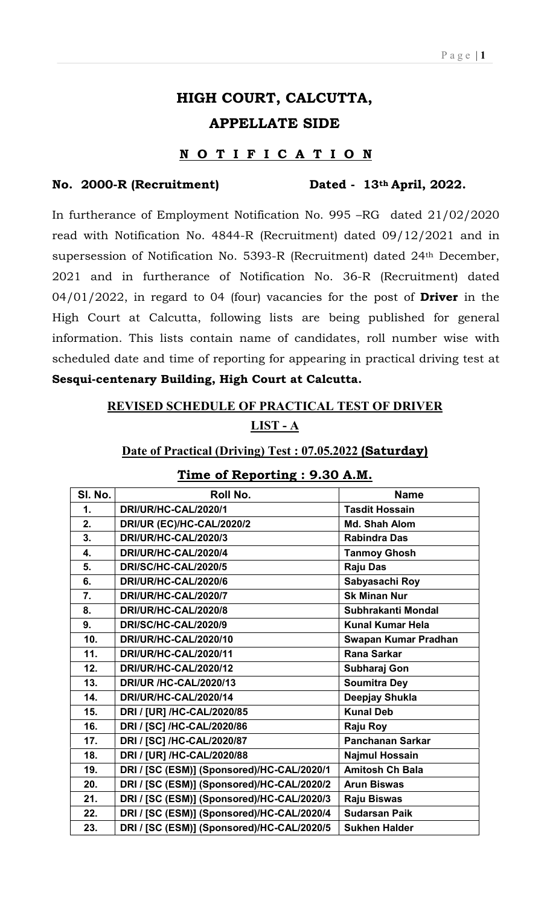# HIGH COURT, CALCUTTA, APPELLATE SIDE

#### NOTIFICATION

#### No. 2000-R (Recruitment) Dated - 13th April, 2022.

In furtherance of Employment Notification No. 995 –RG dated 21/02/2020 read with Notification No. 4844-R (Recruitment) dated 09/12/2021 and in supersession of Notification No. 5393-R (Recruitment) dated 24th December, 2021 and in furtherance of Notification No. 36-R (Recruitment) dated  $04/01/2022$ , in regard to 04 (four) vacancies for the post of **Driver** in the High Court at Calcutta, following lists are being published for general information. This lists contain name of candidates, roll number wise with scheduled date and time of reporting for appearing in practical driving test at Sesqui-centenary Building, High Court at Calcutta.

# REVISED SCHEDULE OF PRACTICAL TEST OF DRIVER LIST - A

#### Date of Practical (Driving) Test : 07.05.2022 (Saturday)

| SI. No.                   | Roll No.                                   | <b>Name</b>             |
|---------------------------|--------------------------------------------|-------------------------|
| $\mathbf 1$ .             | DRI/UR/HC-CAL/2020/1                       | <b>Tasdit Hossain</b>   |
| 2.                        | DRI/UR (EC)/HC-CAL/2020/2                  | <b>Md. Shah Alom</b>    |
| 3.                        | DRI/UR/HC-CAL/2020/3                       | <b>Rabindra Das</b>     |
| $\overline{\mathbf{4}}$ . | DRI/UR/HC-CAL/2020/4                       | <b>Tanmoy Ghosh</b>     |
| 5.                        | DRI/SC/HC-CAL/2020/5                       | <b>Raju Das</b>         |
| 6.                        | DRI/UR/HC-CAL/2020/6                       | Sabyasachi Roy          |
| 7.                        | DRI/UR/HC-CAL/2020/7                       | <b>Sk Minan Nur</b>     |
| 8.                        | DRI/UR/HC-CAL/2020/8                       | Subhrakanti Mondal      |
| 9.                        | DRI/SC/HC-CAL/2020/9                       | <b>Kunal Kumar Hela</b> |
| 10.                       | DRI/UR/HC-CAL/2020/10                      | Swapan Kumar Pradhan    |
| 11.                       | DRI/UR/HC-CAL/2020/11                      | <b>Rana Sarkar</b>      |
| 12.                       | <b>DRI/UR/HC-CAL/2020/12</b>               | Subharaj Gon            |
| 13.                       | <b>DRI/UR /HC-CAL/2020/13</b>              | <b>Soumitra Dey</b>     |
| 14.                       | DRI/UR/HC-CAL/2020/14                      | Deepjay Shukla          |
| 15.                       | DRI / [UR] /HC-CAL/2020/85                 | <b>Kunal Deb</b>        |
| 16.                       | DRI / [SC] /HC-CAL/2020/86                 | Raju Roy                |
| 17.                       | DRI / [SC] /HC-CAL/2020/87                 | <b>Panchanan Sarkar</b> |
| 18.                       | DRI / [UR] /HC-CAL/2020/88                 | <b>Najmul Hossain</b>   |
| 19.                       | DRI / [SC (ESM)] (Sponsored)/HC-CAL/2020/1 | <b>Amitosh Ch Bala</b>  |
| 20.                       | DRI / [SC (ESM)] (Sponsored)/HC-CAL/2020/2 | <b>Arun Biswas</b>      |
| 21.                       | DRI / [SC (ESM)] (Sponsored)/HC-CAL/2020/3 | Raju Biswas             |
| 22.                       | DRI / [SC (ESM)] (Sponsored)/HC-CAL/2020/4 | <b>Sudarsan Paik</b>    |
| 23.                       | DRI / [SC (ESM)] (Sponsored)/HC-CAL/2020/5 | <b>Sukhen Halder</b>    |

#### Time of Reporting : 9.30 A.M.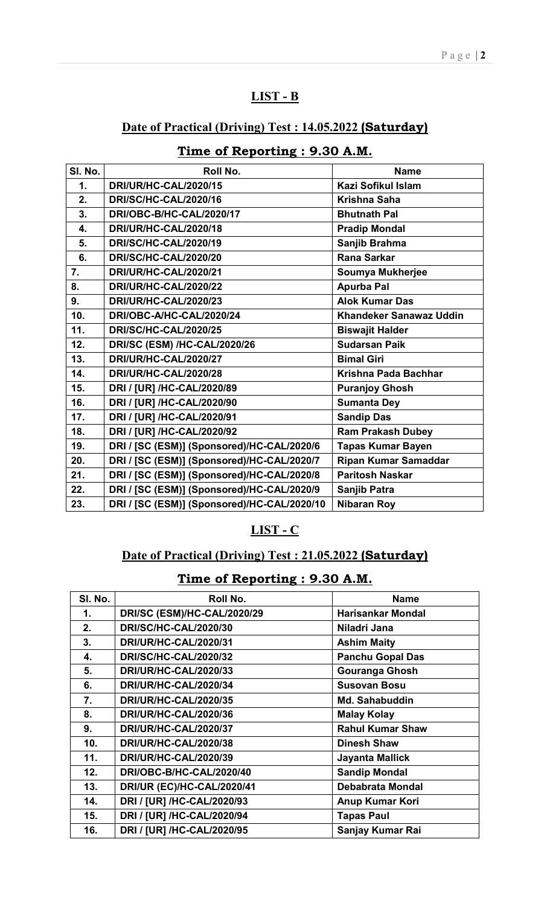### LIST - B

### Date of Practical (Driving) Test : 14.05.2022 (Saturday)

| SI. No.       | <b>Roll No.</b>                             | <b>Name</b>                    |
|---------------|---------------------------------------------|--------------------------------|
| $\mathbf 1$ . | DRI/UR/HC-CAL/2020/15                       | Kazi Sofikul Islam             |
| 2.            | <b>DRI/SC/HC-CAL/2020/16</b>                | <b>Krishna Saha</b>            |
| 3.            | DRI/OBC-B/HC-CAL/2020/17                    | <b>Bhutnath Pal</b>            |
| 4.            | <b>DRI/UR/HC-CAL/2020/18</b>                | <b>Pradip Mondal</b>           |
| 5.            | <b>DRI/SC/HC-CAL/2020/19</b>                | Sanjib Brahma                  |
| 6.            | <b>DRI/SC/HC-CAL/2020/20</b>                | <b>Rana Sarkar</b>             |
| 7.            | DRI/UR/HC-CAL/2020/21                       | Soumya Mukherjee               |
| 8.            | <b>DRI/UR/HC-CAL/2020/22</b>                | <b>Apurba Pal</b>              |
| 9.            | DRI/UR/HC-CAL/2020/23                       | <b>Alok Kumar Das</b>          |
| 10.           | DRI/OBC-A/HC-CAL/2020/24                    | <b>Khandeker Sanawaz Uddin</b> |
| 11.           | <b>DRI/SC/HC-CAL/2020/25</b>                | <b>Biswajit Halder</b>         |
| 12.           | <b>DRI/SC (ESM) /HC-CAL/2020/26</b>         | <b>Sudarsan Paik</b>           |
| 13.           | <b>DRI/UR/HC-CAL/2020/27</b>                | <b>Bimal Giri</b>              |
| 14.           | DRI/UR/HC-CAL/2020/28                       | Krishna Pada Bachhar           |
| 15.           | DRI / [UR] /HC-CAL/2020/89                  | <b>Puranjoy Ghosh</b>          |
| 16.           | DRI / [UR] /HC-CAL/2020/90                  | <b>Sumanta Dey</b>             |
| 17.           | DRI / [UR] /HC-CAL/2020/91                  | <b>Sandip Das</b>              |
| 18.           | DRI / [UR] /HC-CAL/2020/92                  | <b>Ram Prakash Dubey</b>       |
| 19.           | DRI / [SC (ESM)] (Sponsored)/HC-CAL/2020/6  | <b>Tapas Kumar Bayen</b>       |
| 20.           | DRI / [SC (ESM)] (Sponsored)/HC-CAL/2020/7  | <b>Ripan Kumar Samaddar</b>    |
| 21.           | DRI / [SC (ESM)] (Sponsored)/HC-CAL/2020/8  | <b>Paritosh Naskar</b>         |
| 22.           | DRI / [SC (ESM)] (Sponsored)/HC-CAL/2020/9  | Sanjib Patra                   |
| 23.           | DRI / [SC (ESM)] (Sponsored)/HC-CAL/2020/10 | <b>Nibaran Roy</b>             |

## Time of Reporting : 9.30 A.M.

#### LIST - C

### Date of Practical (Driving) Test : 21.05.2022 (Saturday)

# Time of Reporting : 9.30 A.M.

| SI. No.         | Roll No.                          | <b>Name</b>              |
|-----------------|-----------------------------------|--------------------------|
| 1.              | DRI/SC (ESM)/HC-CAL/2020/29       | <b>Harisankar Mondal</b> |
| 2.              | <b>DRI/SC/HC-CAL/2020/30</b>      | Niladri Jana             |
| 3.              | DRI/UR/HC-CAL/2020/31             | <b>Ashim Maity</b>       |
| 4.              | <b>DRI/SC/HC-CAL/2020/32</b>      | <b>Panchu Gopal Das</b>  |
| 5.              | <b>DRI/UR/HC-CAL/2020/33</b>      | <b>Gouranga Ghosh</b>    |
| 6.              | <b>DRI/UR/HC-CAL/2020/34</b>      | <b>Susovan Bosu</b>      |
| 7.              | <b>DRI/UR/HC-CAL/2020/35</b>      | <b>Md. Sahabuddin</b>    |
| 8.              | <b>DRI/UR/HC-CAL/2020/36</b>      | <b>Malay Kolay</b>       |
| 9.              | <b>DRI/UR/HC-CAL/2020/37</b>      | <b>Rahul Kumar Shaw</b>  |
| 10 <sub>1</sub> | <b>DRI/UR/HC-CAL/2020/38</b>      | <b>Dinesh Shaw</b>       |
| 11.             | <b>DRI/UR/HC-CAL/2020/39</b>      | <b>Jayanta Mallick</b>   |
| 12.             | DRI/OBC-B/HC-CAL/2020/40          | <b>Sandip Mondal</b>     |
| 13.             | <b>DRI/UR (EC)/HC-CAL/2020/41</b> | <b>Debabrata Mondal</b>  |
| 14.             | DRI / [UR] /HC-CAL/2020/93        | Anup Kumar Kori          |
| 15.             | DRI / [UR] /HC-CAL/2020/94        | <b>Tapas Paul</b>        |
| 16.             | DRI / [UR] /HC-CAL/2020/95        | Sanjay Kumar Rai         |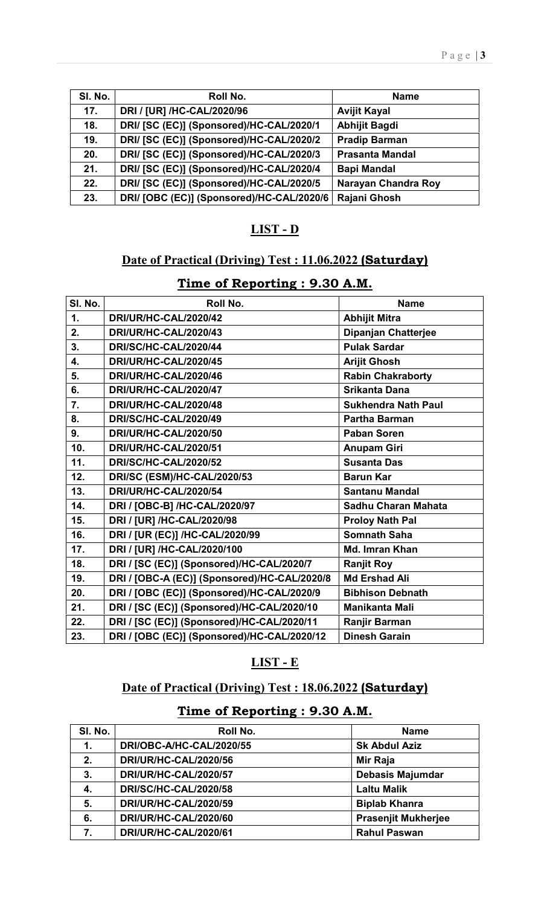| SI. No. | Roll No.                                  | <b>Name</b>            |
|---------|-------------------------------------------|------------------------|
| 17.     | DRI / [UR] /HC-CAL/2020/96                | <b>Avijit Kayal</b>    |
| 18.     | DRI/ [SC (EC)] (Sponsored)/HC-CAL/2020/1  | <b>Abhijit Bagdi</b>   |
| 19.     | DRI/ [SC (EC)] (Sponsored)/HC-CAL/2020/2  | <b>Pradip Barman</b>   |
| 20.     | DRI/ [SC (EC)] (Sponsored)/HC-CAL/2020/3  | <b>Prasanta Mandal</b> |
| 21.     | DRI/ [SC (EC)] (Sponsored)/HC-CAL/2020/4  | <b>Bapi Mandal</b>     |
| 22.     | DRI/ [SC (EC)] (Sponsored)/HC-CAL/2020/5  | Narayan Chandra Roy    |
| 23.     | DRI/ [OBC (EC)] (Sponsored)/HC-CAL/2020/6 | Rajani Ghosh           |

### LIST - D

#### Date of Practical (Driving) Test : 11.06.2022 (Saturday)

| SI. No. | <b>Roll No.</b>                              | <b>Name</b>                |
|---------|----------------------------------------------|----------------------------|
| 1.      | DRI/UR/HC-CAL/2020/42                        | <b>Abhijit Mitra</b>       |
| 2.      | <b>DRI/UR/HC-CAL/2020/43</b>                 | <b>Dipanjan Chatterjee</b> |
| 3.      | DRI/SC/HC-CAL/2020/44                        | <b>Pulak Sardar</b>        |
| 4.      | DRI/UR/HC-CAL/2020/45                        | <b>Arijit Ghosh</b>        |
| 5.      | DRI/UR/HC-CAL/2020/46                        | <b>Rabin Chakraborty</b>   |
| 6.      | DRI/UR/HC-CAL/2020/47                        | <b>Srikanta Dana</b>       |
| 7.      | DRI/UR/HC-CAL/2020/48                        | <b>Sukhendra Nath Paul</b> |
| 8.      | DRI/SC/HC-CAL/2020/49                        | <b>Partha Barman</b>       |
| 9.      | <b>DRI/UR/HC-CAL/2020/50</b>                 | <b>Paban Soren</b>         |
| 10.     | DRI/UR/HC-CAL/2020/51                        | <b>Anupam Giri</b>         |
| 11.     | <b>DRI/SC/HC-CAL/2020/52</b>                 | <b>Susanta Das</b>         |
| 12.     | DRI/SC (ESM)/HC-CAL/2020/53                  | <b>Barun Kar</b>           |
| 13.     | <b>DRI/UR/HC-CAL/2020/54</b>                 | <b>Santanu Mandal</b>      |
| 14.     | DRI / [OBC-B] /HC-CAL/2020/97                | Sadhu Charan Mahata        |
| 15.     | DRI / [UR] /HC-CAL/2020/98                   | <b>Proloy Nath Pal</b>     |
| 16.     | DRI / [UR (EC)] /HC-CAL/2020/99              | <b>Somnath Saha</b>        |
| 17.     | DRI / [UR] /HC-CAL/2020/100                  | Md. Imran Khan             |
| 18.     | DRI / [SC (EC)] (Sponsored)/HC-CAL/2020/7    | <b>Ranjit Roy</b>          |
| 19.     | DRI / [OBC-A (EC)] (Sponsored)/HC-CAL/2020/8 | <b>Md Ershad Ali</b>       |
| 20.     | DRI / [OBC (EC)] (Sponsored)/HC-CAL/2020/9   | <b>Bibhison Debnath</b>    |
| 21.     | DRI / [SC (EC)] (Sponsored)/HC-CAL/2020/10   | <b>Manikanta Mali</b>      |
| 22.     | DRI / [SC (EC)] (Sponsored)/HC-CAL/2020/11   | Ranjir Barman              |
| 23.     | DRI / [OBC (EC)] (Sponsored)/HC-CAL/2020/12  | <b>Dinesh Garain</b>       |

## Time of Reporting : 9.30 A.M.

#### LIST - E

### Date of Practical (Driving) Test : 18.06.2022 (Saturday)

## Time of Reporting : 9.30 A.M.

| SI. No. | Roll No.                     | <b>Name</b>                |
|---------|------------------------------|----------------------------|
| 1.      | DRI/OBC-A/HC-CAL/2020/55     | <b>Sk Abdul Aziz</b>       |
| 2.      | <b>DRI/UR/HC-CAL/2020/56</b> | Mir Raja                   |
| 3.      | DRI/UR/HC-CAL/2020/57        | <b>Debasis Majumdar</b>    |
| 4.      | <b>DRI/SC/HC-CAL/2020/58</b> | <b>Laltu Malik</b>         |
| 5.      | DRI/UR/HC-CAL/2020/59        | <b>Biplab Khanra</b>       |
| 6.      | DRI/UR/HC-CAL/2020/60        | <b>Prasenjit Mukherjee</b> |
| 7.      | DRI/UR/HC-CAL/2020/61        | <b>Rahul Paswan</b>        |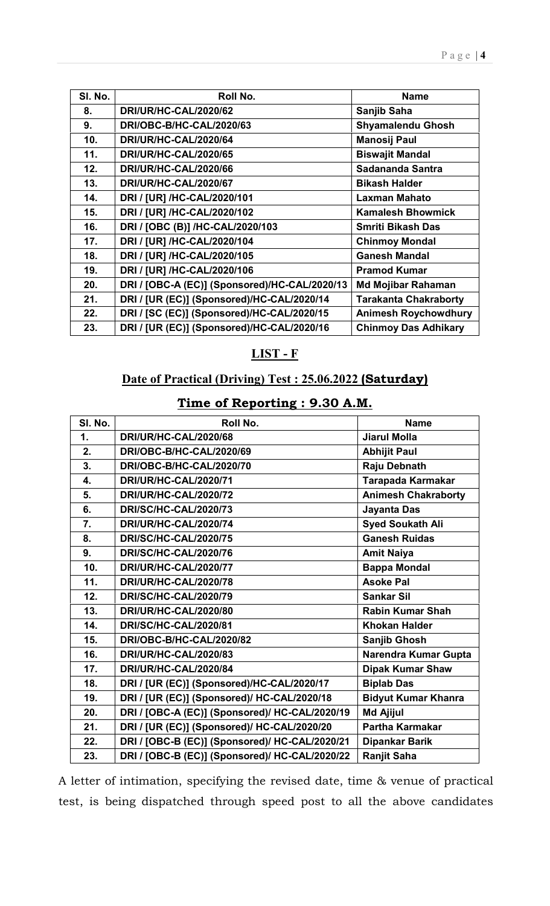| SI. No. | Roll No.                                      | <b>Name</b>                  |
|---------|-----------------------------------------------|------------------------------|
| 8.      | <b>DRI/UR/HC-CAL/2020/62</b>                  | Sanjib Saha                  |
| 9.      | <b>DRI/OBC-B/HC-CAL/2020/63</b>               | <b>Shyamalendu Ghosh</b>     |
| 10.     | DRI/UR/HC-CAL/2020/64                         | <b>Manosij Paul</b>          |
| 11.     | <b>DRI/UR/HC-CAL/2020/65</b>                  | <b>Biswajit Mandal</b>       |
| 12.     | <b>DRI/UR/HC-CAL/2020/66</b>                  | Sadananda Santra             |
| 13.     | <b>DRI/UR/HC-CAL/2020/67</b>                  | <b>Bikash Halder</b>         |
| 14.     | DRI / [UR] /HC-CAL/2020/101                   | <b>Laxman Mahato</b>         |
| 15.     | DRI / [UR] /HC-CAL/2020/102                   | <b>Kamalesh Bhowmick</b>     |
| 16.     | DRI / [OBC (B)] /HC-CAL/2020/103              | <b>Smriti Bikash Das</b>     |
| 17.     | DRI / [UR] /HC-CAL/2020/104                   | <b>Chinmoy Mondal</b>        |
| 18.     | DRI / [UR] /HC-CAL/2020/105                   | <b>Ganesh Mandal</b>         |
| 19.     | DRI / [UR] /HC-CAL/2020/106                   | <b>Pramod Kumar</b>          |
| 20.     | DRI / [OBC-A (EC)] (Sponsored)/HC-CAL/2020/13 | <b>Md Mojibar Rahaman</b>    |
| 21.     | DRI / [UR (EC)] (Sponsored)/HC-CAL/2020/14    | <b>Tarakanta Chakraborty</b> |
| 22.     | DRI / [SC (EC)] (Sponsored)/HC-CAL/2020/15    | <b>Animesh Roychowdhury</b>  |
| 23.     | DRI / [UR (EC)] (Sponsored)/HC-CAL/2020/16    | <b>Chinmoy Das Adhikary</b>  |

#### LIST - F

## Date of Practical (Driving) Test : 25.06.2022 (Saturday)

## Time of Reporting : 9.30 A.M.

| SI. No. | Roll No.                                       | <b>Name</b>                |
|---------|------------------------------------------------|----------------------------|
| 1.      | <b>DRI/UR/HC-CAL/2020/68</b>                   | <b>Jiarul Molla</b>        |
| 2.      | DRI/OBC-B/HC-CAL/2020/69                       | <b>Abhijit Paul</b>        |
| 3.      | DRI/OBC-B/HC-CAL/2020/70                       | Raju Debnath               |
| 4.      | <b>DRI/UR/HC-CAL/2020/71</b>                   | <b>Tarapada Karmakar</b>   |
| 5.      | <b>DRI/UR/HC-CAL/2020/72</b>                   | <b>Animesh Chakraborty</b> |
| 6.      | <b>DRI/SC/HC-CAL/2020/73</b>                   | Jayanta Das                |
| 7.      | DRI/UR/HC-CAL/2020/74                          | <b>Syed Soukath Ali</b>    |
| 8.      | <b>DRI/SC/HC-CAL/2020/75</b>                   | <b>Ganesh Ruidas</b>       |
| 9.      | <b>DRI/SC/HC-CAL/2020/76</b>                   | <b>Amit Naiya</b>          |
| 10.     | DRI/UR/HC-CAL/2020/77                          | <b>Bappa Mondal</b>        |
| 11.     | <b>DRI/UR/HC-CAL/2020/78</b>                   | <b>Asoke Pal</b>           |
| 12.     | <b>DRI/SC/HC-CAL/2020/79</b>                   | <b>Sankar Sil</b>          |
| 13.     | DRI/UR/HC-CAL/2020/80                          | <b>Rabin Kumar Shah</b>    |
| 14.     | <b>DRI/SC/HC-CAL/2020/81</b>                   | <b>Khokan Halder</b>       |
| 15.     | DRI/OBC-B/HC-CAL/2020/82                       | <b>Sanjib Ghosh</b>        |
| 16.     | <b>DRI/UR/HC-CAL/2020/83</b>                   | Narendra Kumar Gupta       |
| 17.     | DRI/UR/HC-CAL/2020/84                          | <b>Dipak Kumar Shaw</b>    |
| 18.     | DRI / [UR (EC)] (Sponsored)/HC-CAL/2020/17     | <b>Biplab Das</b>          |
| 19.     | DRI / [UR (EC)] (Sponsored)/ HC-CAL/2020/18    | <b>Bidyut Kumar Khanra</b> |
| 20.     | DRI / [OBC-A (EC)] (Sponsored)/ HC-CAL/2020/19 | Md Ajijul                  |
| 21.     | DRI / [UR (EC)] (Sponsored)/ HC-CAL/2020/20    | <b>Partha Karmakar</b>     |
| 22.     | DRI / [OBC-B (EC)] (Sponsored)/ HC-CAL/2020/21 | <b>Dipankar Barik</b>      |
| 23.     | DRI / [OBC-B (EC)] (Sponsored)/ HC-CAL/2020/22 | <b>Ranjit Saha</b>         |

A letter of intimation, specifying the revised date, time & venue of practical test, is being dispatched through speed post to all the above candidates